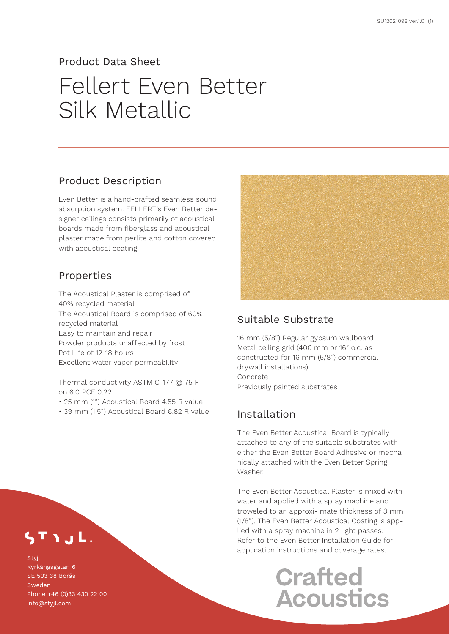#### Product Data Sheet

# Fellert Even Better Silk Metallic

### Product Description

Even Better is a hand-crafted seamless sound absorption system. FELLERT's Even Better designer ceilings consists primarily of acoustical boards made from fiberglass and acoustical plaster made from perlite and cotton covered with acoustical coating.

### Properties

The Acoustical Plaster is comprised of 40% recycled material The Acoustical Board is comprised of 60% recycled material Easy to maintain and repair Powder products unaffected by frost Pot Life of 12-18 hours Excellent water vapor permeability

Thermal conductivity ASTM C-177 @ 75 F on 6.0 PCF 0.22

- 25 mm (1") Acoustical Board 4.55 R value
- 39 mm (1.5") Acoustical Board 6.82 R value



### Suitable Substrate

16 mm (5/8") Regular gypsum wallboard Metal ceiling grid (400 mm or 16" o.c. as constructed for 16 mm (5/8") commercial drywall installations) Concrete Previously painted substrates

## Installation

The Even Better Acoustical Board is typically attached to any of the suitable substrates with either the Even Better Board Adhesive or mechanically attached with the Even Better Spring Washer.

The Even Better Acoustical Plaster is mixed with water and applied with a spray machine and troweled to an approxi- mate thickness of 3 mm (1/8"). The Even Better Acoustical Coating is applied with a spray machine in 2 light passes. Refer to the Even Better Installation Guide for application instructions and coverage rates.

# **Crafted Acoustics**

TIJL.

**Styil** Kyrkängsgatan 6 SE 503 38 Borås Sweden Phone +46 (0)33 430 22 00 info@styjl.com